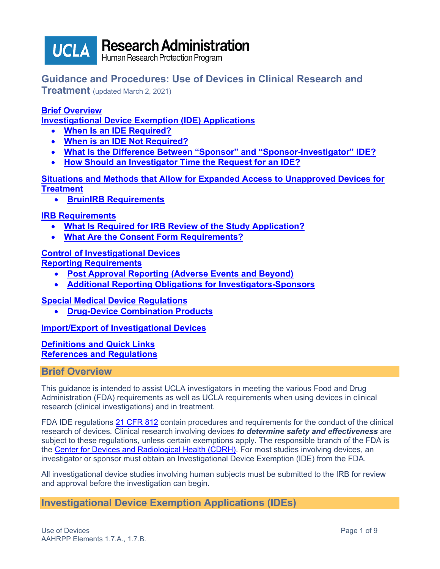

**Research Administration** 

Human Research Protection Program

# **Guidance and Procedures: Use of Devices in Clinical Research and**

**Treatment** (updated March 2, 2021)

# **[Brief Overview](#page-0-0)**

**Investigational [Device Exemption \(IDE\) Applications](#page-0-1)**

- **[When Is an IDE](#page-1-0) Required?**
- **[When is an IDE](#page-1-1) Not Required?**
- **[What Is the Difference Between "Sponsor" and "Sponsor-Investigator"](#page-2-0) IDE?**
- **[How Should an Investigator Time the Request for an IDE?](#page-2-1)**

**[Situations and Methods that Allow for Expanded Access to Unapproved Devices](#page-3-0) for [Treatment](#page-3-0)**

• **BruinIRB [Requirements](#page-4-0)**

# **[IRB Requirements](#page-4-1)**

- **[What Is Required for IRB Review of the Study Application?](#page-4-1)**
- **[What Are the Consent Form Requirements?](#page-5-0)**

## **[Control of Investigational Devices](#page-6-0)**

**[Reporting Requirements](#page-6-1)**

- **[Post Approval Reporting \(Adverse Events and Beyond\)](#page-6-2)**
- **[Additional Reporting Obligations for Investigators-Sponsors](#page-7-0)**

## **[Special Medical Device Regulations](#page-7-1)**

• **[Drug-Device Combination Products](#page-7-2)**

**[Import/Export of Investigational Devices](#page-7-3)**

## **[Definitions and Quick Links](#page-7-4) [References and Regulations](#page-8-0)**

## <span id="page-0-0"></span>**Brief Overview**

This guidance is intended to assist UCLA investigators in meeting the various Food and Drug Administration (FDA) requirements as well as UCLA requirements when using devices in clinical research (clinical investigations) and in treatment.

FDA IDE regulations [21 CFR 812](http://www.accessdata.fda.gov/scripts/cdrh/cfdocs/cfcfr/CFRSearch.cfm?CFRPart=812&showFR=1) contain procedures and requirements for the conduct of the clinical research of devices. Clinical research involving devices *to determine safety and effectiveness* are subject to these regulations, unless certain exemptions apply. The responsible branch of the FDA is the [Center for Devices and Radiological Health \(CDRH\).](https://www.fda.gov/about-fda/fda-organization/center-devices-and-radiological-health) For most studies involving devices, an investigator or sponsor must obtain an Investigational Device Exemption (IDE) from the FDA.

All investigational device studies involving human subjects must be submitted to the IRB for review and approval before the investigation can begin.

# <span id="page-0-1"></span>**Investigational Device Exemption Applications (IDEs)**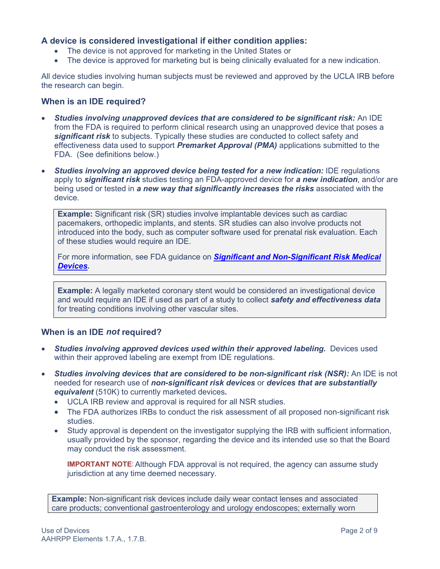## **A device is considered investigational if either condition applies:**

- The device is not approved for marketing in the United States or
- The device is approved for marketing but is being clinically evaluated for a new indication.

All device studies involving human subjects must be reviewed and approved by the UCLA IRB before the research can begin.

#### <span id="page-1-0"></span>**When is an IDE required?**

- *Studies involving unapproved devices that are considered to be significant risk:* An IDE from the FDA is required to perform clinical research using an unapproved device that poses a *significant risk* to subjects. Typically these studies are conducted to collect safety and effectiveness data used to support *Premarket Approval (PMA)* applications submitted to the FDA. (See definitions below.)
- *Studies involving an approved device being tested for a new indication:* IDE regulations apply to *significant risk* studies testing an FDA-approved device for *a new indication*, and/or are being used or tested in *a new way that significantly increases the risks* associated with the device.

**Example:** Significant risk (SR) studies involve implantable devices such as cardiac pacemakers, orthopedic implants, and stents. SR studies can also involve products not introduced into the body, such as computer software used for prenatal risk evaluation. Each of these studies would require an IDE.

For more information, see FDA guidance on *[Significant and Non-Significant Risk Medical](http://www.fda.gov/downloads/RegulatoryInformation/Guidances/UCM126418.pdf)  [Devices.](http://www.fda.gov/downloads/RegulatoryInformation/Guidances/UCM126418.pdf)*

**Example:** A legally marketed coronary stent would be considered an investigational device and would require an IDE if used as part of a study to collect *safety and effectiveness data* for treating conditions involving other vascular sites.

### <span id="page-1-1"></span>**When is an IDE** *not* **required?**

- *Studies involving approved devices used within their approved labeling.* Devices used within their approved labeling are exempt from IDE regulations.
- *Studies involving devices that are considered to be non-significant risk (NSR):* An IDE is not needed for research use of *non-significant risk devices* or *devices that are substantially equivalent* (510K) to currently marketed devices*.*
	- UCLA IRB review and approval is required for all NSR studies.
	- The FDA authorizes IRBs to conduct the risk assessment of all proposed non-significant risk studies.
	- Study approval is dependent on the investigator supplying the IRB with sufficient information, usually provided by the sponsor, regarding the device and its intended use so that the Board may conduct the risk assessment.

**IMPORTANT NOTE:** Although FDA approval is not required, the agency can assume study jurisdiction at any time deemed necessary.

**Example:** Non-significant risk devices include daily wear contact lenses and associated care products; conventional gastroenterology and urology endoscopes; externally worn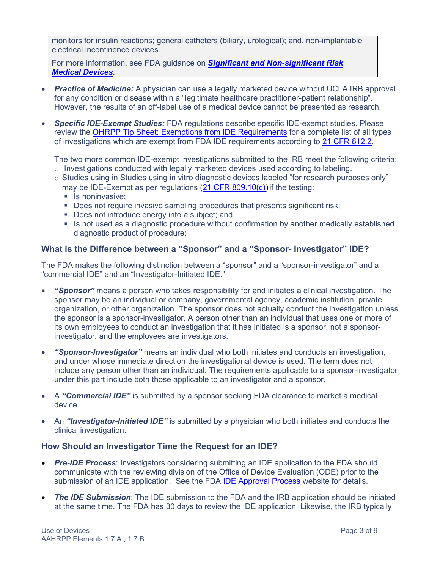monitors for insulin reactions; general catheters (biliary, urological); and, non-implantable electrical incontinence devices.

For more information, see FDA guidance on *[Significant and Non-significant Risk](http://www.fda.gov/downloads/RegulatoryInformation/Guidances/UCM126418.pdf)  [Medical Devices.](http://www.fda.gov/downloads/RegulatoryInformation/Guidances/UCM126418.pdf)*

- *Practice of Medicine:* A physician can use a legally marketed device without UCLA IRB approval for any condition or disease within a "legitimate healthcare practitioner-patient relationship". However, the results of an off-label use of a medical device cannot be presented as research.
- *Specific IDE-Exempt Studies:* FDA regulations describe specific IDE-exempt studies. Please review the [OHRPP Tip Sheet: Exemptions from IDE Requirements](https://ora.research.ucla.edu/OHRPP/Documents/Policy/8/IDE_Exemption.pdf) for a complete list of all types of investigations which are exempt from FDA IDE requirements according to [21 CFR 812.2.](http://www.accessdata.fda.gov/scripts/cdrh/cfdocs/cfcfr/CFRSearch.cfm?fr=812.2)

The two more common IDE-exempt investigations submitted to the IRB meet the following criteria:  $\circ$  Investigations conducted with legally marketed devices used according to labeling.

- o Studies using in Studies using in vitro diagnostic devices labeled "for research purposes only" may be IDE-Exempt as per regulations (21 CFR 809,10(c)) if the testing:
	- $\blacksquare$  Is noninvasive;
	- Does not require invasive sampling procedures that presents significant risk;
	- Does not introduce energy into a subject; and
	- Is not used as a diagnostic procedure without confirmation by another medically established diagnostic product of procedure;

## <span id="page-2-0"></span>**What is the Difference between a "Sponsor" and a "Sponsor- Investigator" IDE?**

The FDA makes the following distinction between a "sponsor" and a "sponsor-investigator" and a "commercial IDE" and an "Investigator-Initiated IDE."

- *"Sponsor"* means a person who takes responsibility for and initiates a clinical investigation. The sponsor may be an individual or company, governmental agency, academic institution, private organization, or other organization. The sponsor does not actually conduct the investigation unless the sponsor is a sponsor-investigator. A person other than an individual that uses one or more of its own employees to conduct an investigation that it has initiated is a sponsor, not a sponsorinvestigator, and the employees are investigators.
- *"Sponsor-Investigator"* means an individual who both initiates and conducts an investigation, and under whose immediate direction the investigational device is used. The term does not include any person other than an individual. The requirements applicable to a sponsor-investigator under this part include both those applicable to an investigator and a sponsor.
- A *"Commercial IDE"* is submitted by a sponsor seeking FDA clearance to market a medical device.
- An *"Investigator-Initiated IDE"* is submitted by a physician who both initiates and conducts the clinical investigation.

### <span id="page-2-1"></span>**How Should an Investigator Time the Request for an IDE?**

- *Pre-IDE Process*: Investigators considering submitting an IDE application to the FDA should communicate with the reviewing division of the Office of Device Evaluation (ODE) prior to the submission of an IDE application. See the FDA [IDE Approval Process](http://www.fda.gov/MedicalDevices/DeviceRegulationandGuidance/HowtoMarketYourDevice/InvestigationalDeviceExemptionIDE/ucm046164.htm) website for details.
- *The IDE Submission*: The IDE submission to the FDA and the IRB application should be initiated at the same time. The FDA has 30 days to review the IDE application. Likewise, the IRB typically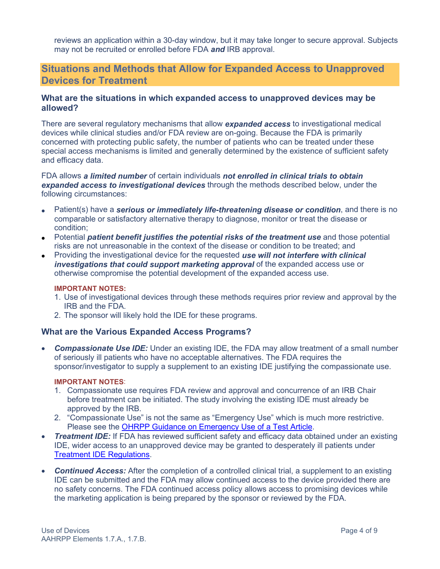reviews an application within a 30-day window, but it may take longer to secure approval. Subjects may not be recruited or enrolled before FDA *and* IRB approval.

# <span id="page-3-0"></span>**Situations and Methods that Allow for Expanded Access to Unapproved Devices for Treatment**

### **What are the situations in which expanded access to unapproved devices may be allowed?**

There are several regulatory mechanisms that allow *[expanded access](http://www.fda.gov/cdrh/devadvice/ide/early.shtml)* to investigational medical devices while clinical studies and/or FDA review are on-going. Because the FDA is primarily concerned with protecting public safety, the number of patients who can be treated under these special access mechanisms is limited and generally determined by the existence of sufficient safety and efficacy data.

FDA allows *a limited number* of certain individuals *not enrolled in clinical trials to obtain expanded access to investigational devices* through the methods described below, under the following circumstances:

- Patient(s) have a *serious or immediately life-threatening disease or condition*, and there is no comparable or satisfactory alternative therapy to diagnose, monitor or treat the disease or condition;
- Potential *patient benefit justifies the potential risks of the treatment use* and those potential risks are not unreasonable in the context of the disease or condition to be treated; and
- Providing the investigational device for the requested *use will not interfere with clinical investigations that could support marketing approval* of the expanded access use or otherwise compromise the potential development of the expanded access use.

#### **IMPORTANT NOTES:**

- 1. Use of investigational devices through these methods requires prior review and approval by the IRB and the FDA.
- 2. The sponsor will likely hold the IDE for these programs.

### **What are the Various Expanded Access Programs?**

• *Compassionate Use IDE:* Under an existing IDE, the FDA may allow treatment of a small number of seriously ill patients who have no acceptable alternatives. The FDA requires the sponsor/investigator to supply a supplement to an existing IDE justifying the compassionate use.

#### **IMPORTANT NOTES**:

- 1. Compassionate use requires FDA review and approval and concurrence of an IRB Chair before treatment can be initiated. The study involving the existing IDE must already be approved by the IRB.
- 2. "Compassionate Use" is not the same as "Emergency Use" which is much more restrictive. Please see the [OHRPP Guidance on Emergency Use of a Test Article.](https://ora.research.ucla.edu/OHRPP/Documents/Policy/8/Emergency_Use.pdf)
- *Treatment IDE:* If FDA has reviewed sufficient safety and efficacy data obtained under an existing IDE, wider access to an unapproved device may be granted to desperately ill patients under [Treatment IDE Regulations.](http://www.accessdata.fda.gov/scripts/cdrh/cfdocs/cfcfr/CFRSearch.cfm?FR=812.36)
- **Continued Access:** After the completion of a controlled clinical trial, a supplement to an existing IDE can be submitted and the FDA may allow continued access to the device provided there are no safety concerns. The FDA continued access policy allows access to promising devices while the marketing application is being prepared by the sponsor or reviewed by the FDA.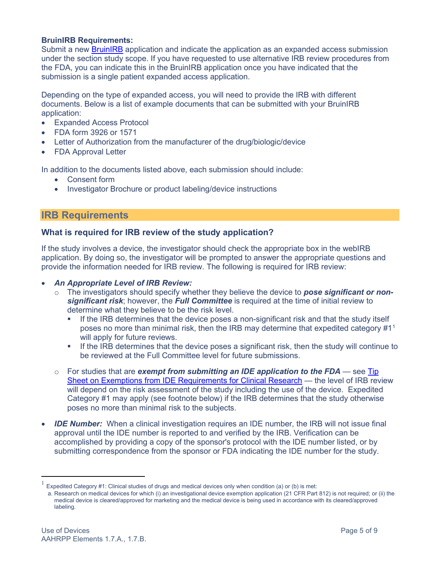#### <span id="page-4-0"></span>**BruinIRB Requirements:**

Submit a new [BruinIRB](https://bruinirb.research.ucla.edu/) application and indicate the application as an expanded access submission under the section study scope. If you have requested to use alternative IRB review procedures from the FDA, you can indicate this in the BruinIRB application once you have indicated that the submission is a single patient expanded access application.

Depending on the type of expanded access, you will need to provide the IRB with different documents. Below is a list of example documents that can be submitted with your BruinIRB application:

- **Expanded Access Protocol**
- FDA form 3926 or 1571
- Letter of Authorization from the manufacturer of the drug/biologic/device
- FDA Approval Letter

In addition to the documents listed above, each submission should include:

- Consent form
- Investigator Brochure or product labeling/device instructions

## <span id="page-4-1"></span>**IRB Requirements**

### **What is required for IRB review of the study application?**

If the study involves a device, the investigator should check the appropriate box in the webIRB application. By doing so, the investigator will be prompted to answer the appropriate questions and provide the information needed for IRB review. The following is required for IRB review:

#### • *An Appropriate Level of IRB Review:*

- o The investigators should specify whether they believe the device to *pose significant or nonsignificant risk*; however, the *Full Committee* is required at the time of initial review to determine what they believe to be the risk level.
	- **If the IRB determines that the device poses a non-significant risk and that the study itself** poses no more than minimal risk, then the IRB may determine that expedited category #1[1](#page-4-2) will apply for future reviews.
	- **If the IRB determines that the device poses a significant risk, then the study will continue to** be reviewed at the Full Committee level for future submissions.
- o For studies that are *exempt from submitting an IDE application to the FDA* see [Tip](https://ora.research.ucla.edu/OHRPP/Documents/Policy/8/IDE_Exemption.pdf)  [Sheet on Exemptions from IDE Requirements for Clinical Research](https://ora.research.ucla.edu/OHRPP/Documents/Policy/8/IDE_Exemption.pdf) — the level of IRB review will depend on the risk assessment of the study including the use of the device. Expedited Category #1 may apply (see footnote below) if the IRB determines that the study otherwise poses no more than minimal risk to the subjects.
- *IDE Number:* When a clinical investigation requires an IDE number, the IRB will not issue final approval until the IDE number is reported to and verified by the IRB. Verification can be accomplished by providing a copy of the sponsor's protocol with the IDE number listed, or by submitting correspondence from the sponsor or FDA indicating the IDE number for the study.

<span id="page-4-2"></span>Expedited Category #1: Clinical studies of drugs and medical devices only when condition (a) or (b) is met:

a. Research on medical devices for which (i) an investigational device exemption application (21 CFR Part 812) is not required; or (ii) the medical device is cleared/approved for marketing and the medical device is being used in accordance with its cleared/approved labeling.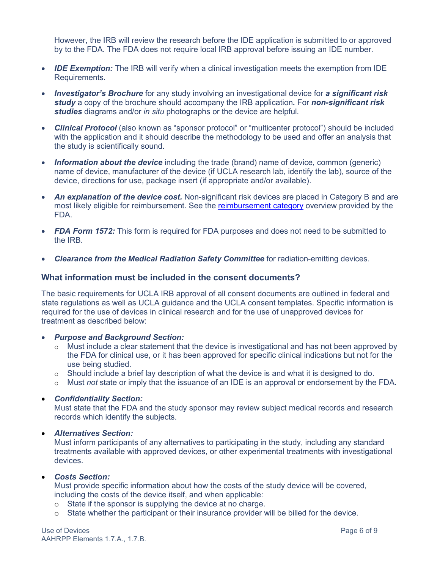However, the IRB will review the research before the IDE application is submitted to or approved by to the FDA. The FDA does not require local IRB approval before issuing an IDE number.

- *IDE Exemption:* The IRB will verify when a clinical investigation meets the exemption from IDE Requirements.
- *Investigator's Brochure* for any study involving an investigational device for *a significant risk study* a copy of the brochure should accompany the IRB application*.* For *non-significant risk studies* diagrams and/or *in situ* photographs or the device are helpful.
- *Clinical Protocol* (also known as "sponsor protocol" or "multicenter protocol") should be included with the application and it should describe the methodology to be used and offer an analysis that the study is scientifically sound.
- *Information about the device* including the trade (brand) name of device, common (generic) name of device, manufacturer of the device (if UCLA research lab, identify the lab), source of the device, directions for use, package insert (if appropriate and/or available).
- An explanation of the device cost. Non-significant risk devices are placed in Category B and are most likely eligible for reimbursement. See the [reimbursement category](https://www.fda.gov/media/98578/download) overview provided by the FDA.
- **FDA Form 1572:** This form is required for FDA purposes and does not need to be submitted to the IRB.
- *Clearance from the Medical Radiation Safety Committee* for radiation-emitting devices.

#### <span id="page-5-0"></span>**What information must be included in the consent documents?**

The basic requirements for UCLA IRB approval of all consent documents are outlined in federal and state regulations as well as UCLA guidance and the UCLA consent templates. Specific information is required for the use of devices in clinical research and for the use of unapproved devices for treatment as described below:

#### • *Purpose and Background Section:*

- o Must include a clear statement that the device is investigational and has not been approved by the FDA for clinical use, or it has been approved for specific clinical indications but not for the use being studied.
- o Should include a brief lay description of what the device is and what it is designed to do.
- o Must *not* state or imply that the issuance of an IDE is an approval or endorsement by the FDA.

#### • *Confidentiality Section:*

Must state that the FDA and the study sponsor may review subject medical records and research records which identify the subjects.

#### • *Alternatives Section:*

Must inform participants of any alternatives to participating in the study, including any standard treatments available with approved devices, or other experimental treatments with investigational devices.

#### • *Costs Section:*

Must provide specific information about how the costs of the study device will be covered, including the costs of the device itself, and when applicable:

- o State if the sponsor is supplying the device at no charge.
- o State whether the participant or their insurance provider will be billed for the device.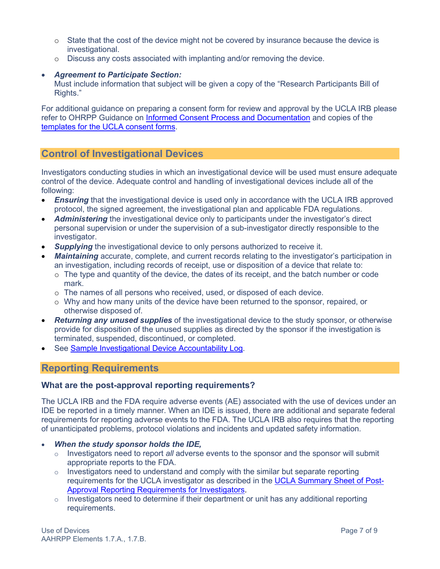- o State that the cost of the device might not be covered by insurance because the device is investigational.
- o Discuss any costs associated with implanting and/or removing the device.

#### • *Agreement to Participate Section:*

Must include information that subject will be given a copy of the "Research Participants Bill of Rights."

For additional guidance on preparing a consent form for review and approval by the UCLA IRB please refer to OHRPP Guidance on [Informed Consent Process and Documentation](https://ora.research.ucla.edu/OHRPP/Documents/Policy/5/Obtain_Informed_Consent.pdf) and copies of the [templates for the UCLA consent forms.](https://ohrpp.research.ucla.edu/consent-templates/)

## <span id="page-6-0"></span>**Control of Investigational Devices**

Investigators conducting studies in which an investigational device will be used must ensure adequate control of the device. Adequate control and handling of investigational devices include all of the following:

- **Ensuring** that the investigational device is used only in accordance with the UCLA IRB approved protocol, the signed agreement, the investigational plan and applicable FDA regulations.
- *Administering* the investigational device only to participants under the investigator's direct personal supervision or under the supervision of a sub-investigator directly responsible to the investigator.
- *Supplying* the investigational device to only persons authorized to receive it.
- *Maintaining* accurate, complete, and current records relating to the investigator's participation in an investigation, including records of receipt, use or disposition of a device that relate to:
	- $\circ$  The type and quantity of the device, the dates of its receipt, and the batch number or code mark.
	- o The names of all persons who received, used, or disposed of each device.
	- o Why and how many units of the device have been returned to the sponsor, repaired, or otherwise disposed of.
- *Returning any unused supplies* of the investigational device to the study sponsor, or otherwise provide for disposition of the unused supplies as directed by the sponsor if the investigation is terminated, suspended, discontinued, or completed.
- See [Sample Investigational Device Accountability Log](https://ora.research.ucla.edu/OHRPP/Documents/Researchers/Agent_Account_Record.pdf).

## <span id="page-6-1"></span>**Reporting Requirements**

### <span id="page-6-2"></span>**What are the post-approval reporting requirements?**

The UCLA IRB and the FDA require adverse events (AE) associated with the use of devices under an IDE be reported in a timely manner. When an IDE is issued, there are additional and separate federal requirements for reporting adverse events to the FDA. The UCLA IRB also requires that the reporting of unanticipated problems, protocol violations and incidents and updated safety information.

- *When the study sponsor holds the IDE,*
	- o Investigators need to report *all* adverse events to the sponsor and the sponsor will submit appropriate reports to the FDA.
	- $\circ$  Investigators need to understand and comply with the similar but separate reporting requirements for the UCLA investigator as described in the [UCLA Summary Sheet of Post-](https://ora.research.ucla.edu/OHRPP/Documents/Policy/11/PAR_Requirements.pdf)[Approval Reporting Requirements for Investigators.](https://ora.research.ucla.edu/OHRPP/Documents/Policy/11/PAR_Requirements.pdf)
	- $\circ$  Investigators need to determine if their department or unit has any additional reporting requirements.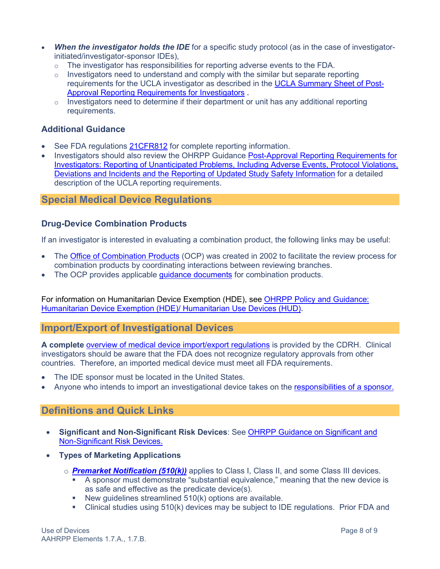- **When the investigator holds the IDE** for a specific study protocol (as in the case of investigatorinitiated/investigator-sponsor IDEs),
	- $\circ$  The investigator has responsibilities for reporting adverse events to the FDA.
	- $\circ$  Investigators need to understand and comply with the similar but separate reporting requirements for the UCLA investigator as described in the [UCLA Summary Sheet of Post-](https://ora.research.ucla.edu/OHRPP/Documents/Policy/11/PAR_Requirements.pdf)[Approval Reporting Requirements for Investigators](https://ora.research.ucla.edu/OHRPP/Documents/Policy/11/PAR_Requirements.pdf) .
	- $\circ$  Investigators need to determine if their department or unit has any additional reporting requirements.

## <span id="page-7-0"></span>**Additional Guidance**

- See FDA regulations [21CFR812](http://www.accessdata.fda.gov/scripts/cdrh/cfdocs/cfcfr/CFRSearch.cfm?CFRPart=812&showFR=1) for complete reporting information.
- Investigators should also review the OHRPP Guidance Post-Approval Reporting Requirements for [Investigators: Reporting of Unanticipated Problems, Including Adverse Events, Protocol Violations,](https://ora.research.ucla.edu/OHRPP/Documents/Policy/11/PAR_Requirements.pdf)  [Deviations and Incidents and the Reporting of Updated Study Safety Information](https://ora.research.ucla.edu/OHRPP/Documents/Policy/11/PAR_Requirements.pdf) for a detailed description of the UCLA reporting requirements.

# <span id="page-7-1"></span>**Special Medical Device Regulations**

## <span id="page-7-2"></span>**Drug-Device Combination Products**

If an investigator is interested in evaluating a combination product, the following links may be useful:

- The [Office of Combination Products](https://www.fda.gov/about-fda/office-clinical-policy-and-programs/office-combination-products) (OCP) was created in 2002 to facilitate the review process for combination products by coordinating interactions between reviewing branches.
- The OCP provides applicable quidance documents for combination products.

For information on Humanitarian Device Exemption (HDE), see [OHRPP Policy and Guidance:](https://ora.research.ucla.edu/OHRPP/Documents/Policy/8/HUD_Guidance_and_Policy.pdf)  [Humanitarian Device Exemption \(HDE\)/ Humanitarian Use Devices \(HUD\).](https://ora.research.ucla.edu/OHRPP/Documents/Policy/8/HUD_Guidance_and_Policy.pdf)

## <span id="page-7-3"></span>**Import/Export of Investigational Devices**

**A complete** [overview of medical device import/export regulations](https://www.fda.gov/medical-devices/device-advice-comprehensive-regulatory-assistance/importing-and-exporting-medical-devices) is provided by the CDRH. Clinical investigators should be aware that the FDA does not recognize regulatory approvals from other countries. Therefore, an imported medical device must meet all FDA requirements.

- The IDE sponsor must be located in the United States.
- Anyone who intends to import an investigational device takes on the [responsibilities of a sponsor.](http://www.fda.gov/MedicalDevices/DeviceRegulationandGuidance/default.htm)

# <span id="page-7-4"></span>**Definitions and Quick Links**

- **Significant and Non-Significant Risk Devices**: See [OHRPP Guidance on Significant and](https://ora.research.ucla.edu/OHRPP/Documents/Policy/8/Sig_and_NonSig_Devices.pdf)  [Non-Significant Risk Devices.](https://ora.research.ucla.edu/OHRPP/Documents/Policy/8/Sig_and_NonSig_Devices.pdf)
- **Types of Marketing Applications**
	- o *[Premarket Notification \(510\(k\)\)](http://www.fda.gov/MedicalDevices/ProductsandMedicalProcedures/DeviceApprovalsandClearances/510kClearances/default.htm)* applies to Class I, Class II, and some Class III devices.
		- A sponsor must demonstrate "substantial equivalence," meaning that the new device is as safe and effective as the predicate device(s).
		- New guidelines streamlined  $510(k)$  options are available.
		- Clinical studies using 510(k) devices may be subject to IDE regulations. Prior FDA and